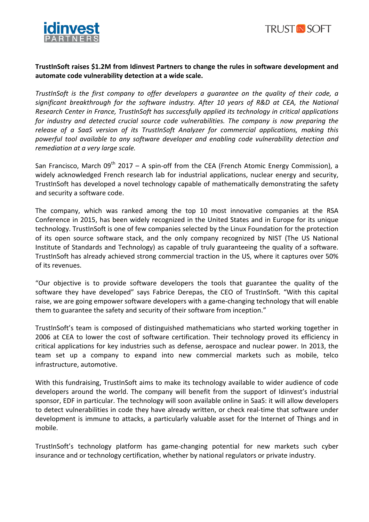



## TrustInSoft raises \$1.2M from Idinvest Partners to change the rules in software development and automate code vulnerability detection at a wide scale.

*TrustInSoft* is the first company to offer developers a quarantee on the quality of their code, a *significant breakthrough for the software industry. After 10 years of R&D at CEA, the National Research Center in France, TrustInSoft has successfully applied its technology in critical applications for industry and detected crucial source code vulnerabilities. The company is now preparing the* release of a SaaS version of its TrustInSoft Analyzer for commercial applications, making this *powerful tool available to any software developer and enabling code vulnerability detection and remediation at a very large scale.* 

San Francisco, March  $09^{th}$  2017 – A spin-off from the CEA (French Atomic Energy Commission), a widely acknowledged French research lab for industrial applications, nuclear energy and security, TrustInSoft has developed a novel technology capable of mathematically demonstrating the safety and security a software code.

The company, which was ranked among the top 10 most innovative companies at the RSA Conference in 2015, has been widely recognized in the United States and in Europe for its unique technology. TrustInSoft is one of few companies selected by the Linux Foundation for the protection of its open source software stack, and the only company recognized by NIST (The US National Institute of Standards and Technology) as capable of truly guaranteeing the quality of a software. TrustInSoft has already achieved strong commercial traction in the US, where it captures over 50% of its revenues.

"Our objective is to provide software developers the tools that guarantee the quality of the software they have developed" says Fabrice Derepas, the CEO of TrustInSoft. "With this capital raise, we are going empower software developers with a game-changing technology that will enable them to guarantee the safety and security of their software from inception."

TrustInSoft's team is composed of distinguished mathematicians who started working together in 2006 at CEA to lower the cost of software certification. Their technology proved its efficiency in critical applications for key industries such as defense, aerospace and nuclear power. In 2013, the team set up a company to expand into new commercial markets such as mobile, telco infrastructure, automotive.

With this fundraising, TrustInSoft aims to make its technology available to wider audience of code developers around the world. The company will benefit from the support of Idinvest's industrial sponsor, EDF in particular. The technology will soon available online in SaaS: it will allow developers to detect vulnerabilities in code they have already written, or check real-time that software under development is immune to attacks, a particularly valuable asset for the Internet of Things and in mobile. 

TrustInSoft's technology platform has game-changing potential for new markets such cyber insurance and or technology certification, whether by national regulators or private industry.